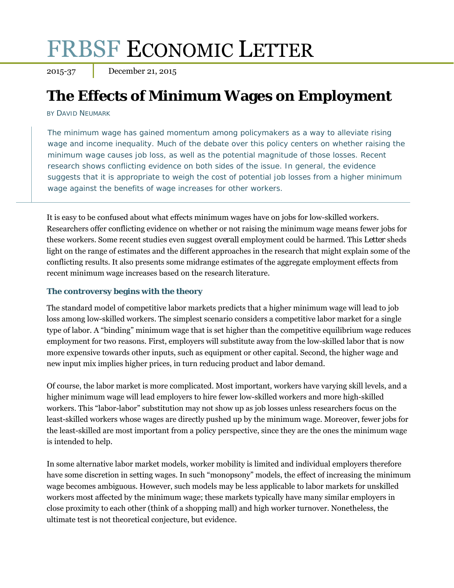# FRBSF ECONOMIC LETTER

2015-37 December 21, 2015

## **The Effects of Minimum Wages on Employment**

BY DAVID NEUMARK

The minimum wage has gained momentum among policymakers as a way to alleviate rising wage and income inequality. Much of the debate over this policy centers on whether raising the minimum wage causes job loss, as well as the potential magnitude of those losses. Recent research shows conflicting evidence on both sides of the issue. In general, the evidence suggests that it is appropriate to weigh the cost of potential job losses from a higher minimum wage against the benefits of wage increases for other workers.

It is easy to be confused about what effects minimum wages have on jobs for low-skilled workers. Researchers offer conflicting evidence on whether or not raising the minimum wage means fewer jobs for these workers. Some recent studies even suggest *overall* employment could be harmed. This *Letter* sheds light on the range of estimates and the different approaches in the research that might explain some of the conflicting results. It also presents some midrange estimates of the aggregate employment effects from recent minimum wage increases based on the research literature.

### **The controversy begins with the theory**

The standard model of competitive labor markets predicts that a higher minimum wage will lead to job loss among low-skilled workers. The simplest scenario considers a competitive labor market for a single type of labor. A "binding" minimum wage that is set higher than the competitive equilibrium wage reduces employment for two reasons. First, employers will substitute away from the low-skilled labor that is now more expensive towards other inputs, such as equipment or other capital. Second, the higher wage and new input mix implies higher prices, in turn reducing product and labor demand.

Of course, the labor market is more complicated. Most important, workers have varying skill levels, and a higher minimum wage will lead employers to hire fewer low-skilled workers and more high-skilled workers. This "labor-labor" substitution may not show up as job losses unless researchers focus on the least-skilled workers whose wages are directly pushed up by the minimum wage. Moreover, fewer jobs for the least-skilled are most important from a policy perspective, since they are the ones the minimum wage is intended to help.

In some alternative labor market models, worker mobility is limited and individual employers therefore have some discretion in setting wages. In such "monopsony" models, the effect of increasing the minimum wage becomes ambiguous. However, such models may be less applicable to labor markets for unskilled workers most affected by the minimum wage; these markets typically have many similar employers in close proximity to each other (think of a shopping mall) and high worker turnover. Nonetheless, the ultimate test is not theoretical conjecture, but evidence.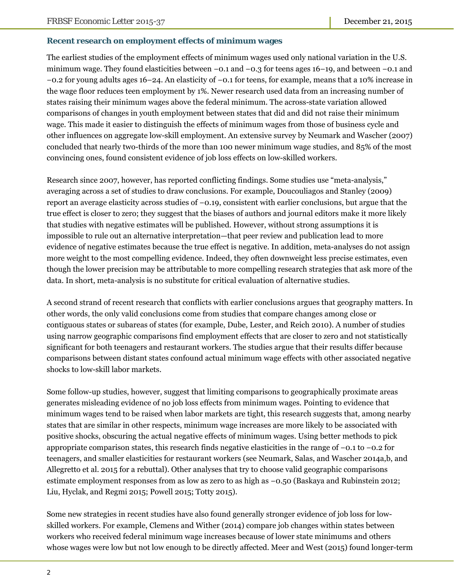#### **Recent research on employment effects of minimum wages**

The earliest studies of the employment effects of minimum wages used only national variation in the U.S. minimum wage. They found elasticities between −0.1 and −0.3 for teens ages 16–19, and between −0.1 and −0.2 for young adults ages 16–24. An elasticity of −0.1 for teens, for example, means that a 10% increase in the wage floor reduces teen employment by 1%. Newer research used data from an increasing number of states raising their minimum wages above the federal minimum. The across-state variation allowed comparisons of changes in youth employment between states that did and did not raise their minimum wage. This made it easier to distinguish the effects of minimum wages from those of business cycle and other influences on aggregate low-skill employment. An extensive survey by Neumark and Wascher (2007) concluded that nearly two-thirds of the more than 100 newer minimum wage studies, and 85% of the most convincing ones, found consistent evidence of job loss effects on low-skilled workers.

Research since 2007, however, has reported conflicting findings. Some studies use "meta-analysis," averaging across a set of studies to draw conclusions. For example, Doucouliagos and Stanley (2009) report an average elasticity across studies of −0.19, consistent with earlier conclusions, but argue that the true effect is closer to zero; they suggest that the biases of authors and journal editors make it more likely that studies with negative estimates will be published. However, without strong assumptions it is impossible to rule out an alternative interpretation—that peer review and publication lead to more evidence of negative estimates because the true effect is negative. In addition, meta-analyses do not assign more weight to the most compelling evidence. Indeed, they often downweight less precise estimates, even though the lower precision may be attributable to more compelling research strategies that ask more of the data. In short, meta-analysis is no substitute for critical evaluation of alternative studies.

A second strand of recent research that conflicts with earlier conclusions argues that geography matters. In other words, the only valid conclusions come from studies that compare changes among close or contiguous states or subareas of states (for example, Dube, Lester, and Reich 2010). A number of studies using narrow geographic comparisons find employment effects that are closer to zero and not statistically significant for both teenagers and restaurant workers. The studies argue that their results differ because comparisons between distant states confound actual minimum wage effects with other associated negative shocks to low-skill labor markets.

Some follow-up studies, however, suggest that limiting comparisons to geographically proximate areas generates misleading evidence of no job loss effects from minimum wages. Pointing to evidence that minimum wages tend to be raised when labor markets are tight, this research suggests that, among nearby states that are similar in other respects, minimum wage increases are more likely to be associated with positive shocks, obscuring the actual negative effects of minimum wages. Using better methods to pick appropriate comparison states, this research finds negative elasticities in the range of −0.1 to −0.2 for teenagers, and smaller elasticities for restaurant workers (see Neumark, Salas, and Wascher 2014a,b, and Allegretto et al. 2015 for a rebuttal). Other analyses that try to choose valid geographic comparisons estimate employment responses from as low as zero to as high as −0.50 (Baskaya and Rubinstein 2012; Liu, Hyclak, and Regmi 2015; Powell 2015; Totty 2015).

Some new strategies in recent studies have also found generally stronger evidence of job loss for lowskilled workers. For example, Clemens and Wither (2014) compare job changes within states between workers who received federal minimum wage increases because of lower state minimums and others whose wages were low but not low enough to be directly affected. Meer and West (2015) found longer-term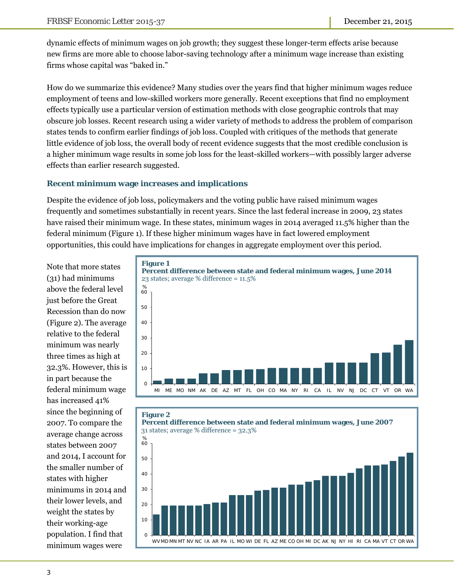dynamic effects of minimum wages on job growth; they suggest these longer-term effects arise because new firms are more able to choose labor-saving technology after a minimum wage increase than existing firms whose capital was "baked in."

How do we summarize this evidence? Many studies over the years find that higher minimum wages reduce employment of teens and low-skilled workers more generally. Recent exceptions that find no employment effects typically use a particular version of estimation methods with close geographic controls that may obscure job losses. Recent research using a wider variety of methods to address the problem of comparison states tends to confirm earlier findings of job loss. Coupled with critiques of the methods that generate little evidence of job loss, the overall body of recent evidence suggests that the most credible conclusion is a higher minimum wage results in some job loss for the least-skilled workers—with possibly larger adverse effects than earlier research suggested.

#### **Recent minimum wage increases and implications**

Despite the evidence of job loss, policymakers and the voting public have raised minimum wages frequently and sometimes substantially in recent years. Since the last federal increase in 2009, 23 states have raised their minimum wage. In these states, minimum wages in 2014 averaged 11.5% higher than the federal minimum (Figure 1). If these higher minimum wages have in fact lowered employment opportunities, this could have implications for changes in aggregate employment over this period.

Note that more states (31) had minimums above the federal level just before the Great Recession than do now (Figure 2). The average relative to the federal minimum was nearly three times as high at 32.3%. However, this is in part because the federal minimum wage has increased 41% since the beginning of 2007. To compare the average change across states between 2007 and 2014, I account for the smaller number of states with higher minimums in 2014 and their lower levels, and weight the states by their working-age population. I find that minimum wages were



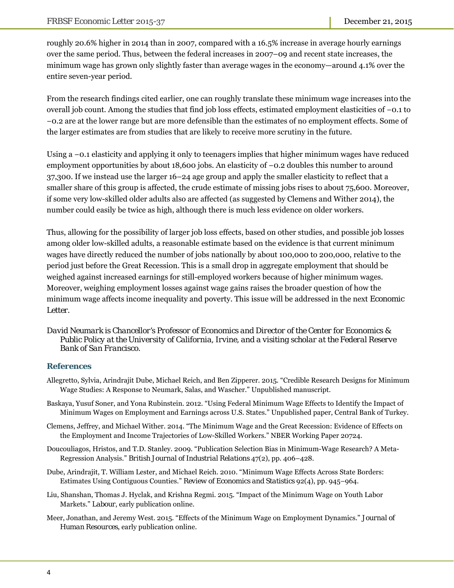roughly 20.6% higher in 2014 than in 2007, compared with a 16.5% increase in average hourly earnings over the same period. Thus, between the federal increases in 2007–09 and recent state increases, the minimum wage has grown only slightly faster than average wages in the economy—around 4.1% over the entire seven-year period.

From the research findings cited earlier, one can roughly translate these minimum wage increases into the overall job count. Among the studies that find job loss effects, estimated employment elasticities of −0.1 to −0.2 are at the lower range but are more defensible than the estimates of no employment effects. Some of the larger estimates are from studies that are likely to receive more scrutiny in the future.

Using a −0.1 elasticity and applying it only to teenagers implies that higher minimum wages have reduced employment opportunities by about 18,600 jobs. An elasticity of −0.2 doubles this number to around 37,300. If we instead use the larger 16–24 age group and apply the smaller elasticity to reflect that a smaller share of this group is affected, the crude estimate of missing jobs rises to about 75,600. Moreover, if some very low-skilled older adults also are affected (as suggested by Clemens and Wither 2014), the number could easily be twice as high, although there is much less evidence on older workers.

Thus, allowing for the possibility of larger job loss effects, based on other studies, and possible job losses among older low-skilled adults, a reasonable estimate based on the evidence is that current minimum wages have directly reduced the number of jobs nationally by about 100,000 to 200,000, relative to the period just before the Great Recession. This is a small drop in aggregate employment that should be weighed against increased earnings for still-employed workers because of higher minimum wages. Moreover, weighing employment losses against wage gains raises the broader question of how the minimum wage affects income inequality and poverty. This issue will be addressed in the next *Economic Letter*.

*David Neumark is Chancellor's Professor of Economics and Director of the Center for Economics & Public Policy at the University of California, Irvine, and a visiting scholar at the Federal Reserve Bank of San Francisco.* 

#### **References**

- Allegretto, Sylvia, Arindrajit Dube, Michael Reich, and Ben Zipperer. 2015. "Credible Research Designs for Minimum Wage Studies: A Response to Neumark, Salas, and Wascher." Unpublished manuscript.
- Baskaya, Yusuf Soner, and Yona Rubinstein. 2012. "Using Federal Minimum Wage Effects to Identify the Impact of Minimum Wages on Employment and Earnings across U.S. States." Unpublished paper, Central Bank of Turkey.
- Clemens, Jeffrey, and Michael Wither. 2014. "The Minimum Wage and the Great Recession: Evidence of Effects on the Employment and Income Trajectories of Low-Skilled Workers." NBER Working Paper 20724.
- Doucouliagos, Hristos, and T.D. Stanley. 2009. "Publication Selection Bias in Minimum-Wage Research? A Meta-Regression Analysis." *British Journal of Industrial Relations* 47(2), pp. 406–428.
- Dube, Arindrajit, T. William Lester, and Michael Reich. 2010. "Minimum Wage Effects Across State Borders: Estimates Using Contiguous Counties." *Review of Economics and Statistics* 92(4), pp. 945–964.
- Liu, Shanshan, Thomas J. Hyclak, and Krishna Regmi. 2015. "Impact of the Minimum Wage on Youth Labor Markets." *Labour*, early publication online.
- Meer, Jonathan, and Jeremy West. 2015. "Effects of the Minimum Wage on Employment Dynamics." *Journal of Human Resources*, early publication online.